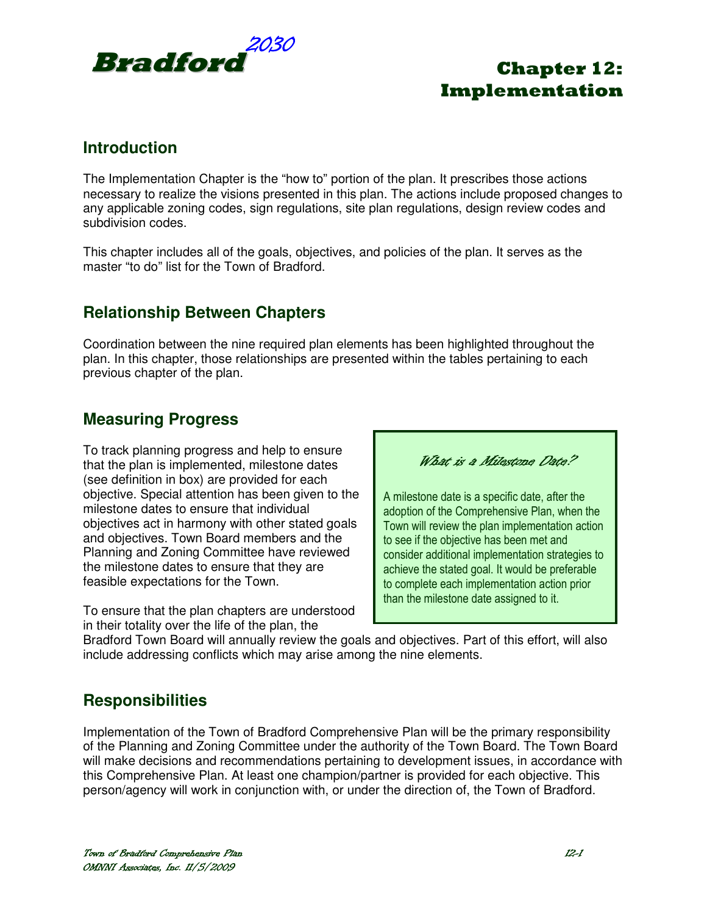

### **Introduction**

The Implementation Chapter is the "how to" portion of the plan. It prescribes those actions necessary to realize the visions presented in this plan. The actions include proposed changes to any applicable zoning codes, sign regulations, site plan regulations, design review codes and subdivision codes.

This chapter includes all of the goals, objectives, and policies of the plan. It serves as the master "to do" list for the Town of Bradford.

### **Relationship Between Chapters**

Coordination between the nine required plan elements has been highlighted throughout the plan. In this chapter, those relationships are presented within the tables pertaining to each previous chapter of the plan.

### **Measuring Progress**

To track planning progress and help to ensure that the plan is implemented, milestone dates (see definition in box) are provided for each objective. Special attention has been given to the milestone dates to ensure that individual objectives act in harmony with other stated goals and objectives. Town Board members and the Planning and Zoning Committee have reviewed the milestone dates to ensure that they are feasible expectations for the Town.

To ensure that the plan chapters are understood in their totality over the life of the plan, the

What is a Milestone Date?

A milestone date is a specific date, after the adoption of the Comprehensive Plan, when the Town will review the plan implementation action to see if the objective has been met and consider additional implementation strategies to achieve the stated goal. It would be preferable to complete each implementation action prior than the milestone date assigned to it.

Bradford Town Board will annually review the goals and objectives. Part of this effort, will also include addressing conflicts which may arise among the nine elements.

## **Responsibilities**

Implementation of the Town of Bradford Comprehensive Plan will be the primary responsibility of the Planning and Zoning Committee under the authority of the Town Board. The Town Board will make decisions and recommendations pertaining to development issues, in accordance with this Comprehensive Plan. At least one champion/partner is provided for each objective. This person/agency will work in conjunction with, or under the direction of, the Town of Bradford.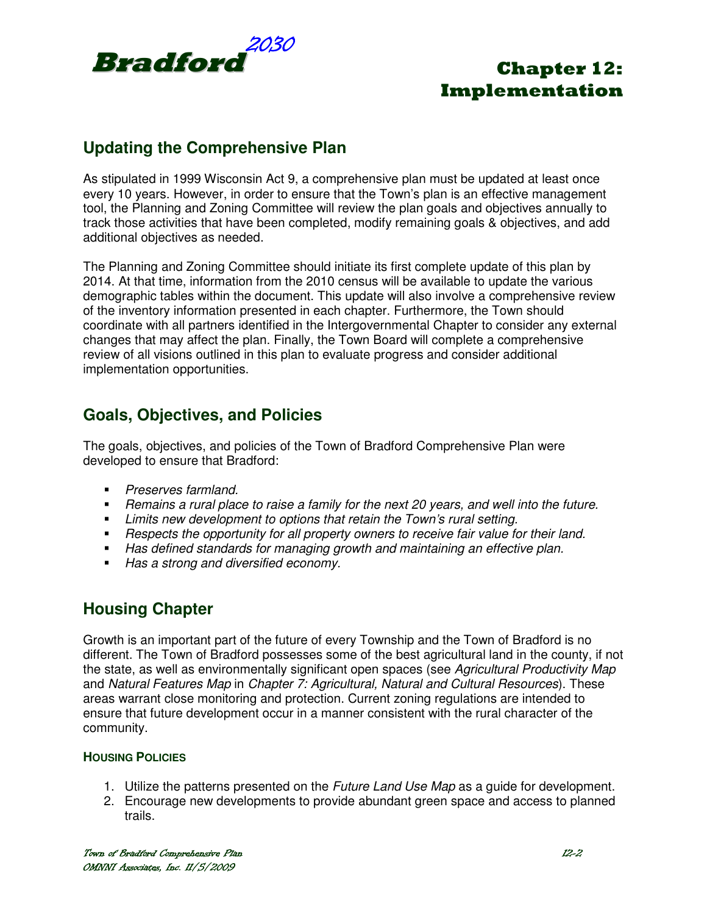

## **Updating the Comprehensive Plan**

As stipulated in 1999 Wisconsin Act 9, a comprehensive plan must be updated at least once every 10 years. However, in order to ensure that the Town's plan is an effective management tool, the Planning and Zoning Committee will review the plan goals and objectives annually to track those activities that have been completed, modify remaining goals & objectives, and add additional objectives as needed.

The Planning and Zoning Committee should initiate its first complete update of this plan by 2014. At that time, information from the 2010 census will be available to update the various demographic tables within the document. This update will also involve a comprehensive review of the inventory information presented in each chapter. Furthermore, the Town should coordinate with all partners identified in the Intergovernmental Chapter to consider any external changes that may affect the plan. Finally, the Town Board will complete a comprehensive review of all visions outlined in this plan to evaluate progress and consider additional implementation opportunities.

### **Goals, Objectives, and Policies**

The goals, objectives, and policies of the Town of Bradford Comprehensive Plan were developed to ensure that Bradford:

- **Preserves farmland.**
- Remains a rural place to raise a family for the next 20 years, and well into the future.
- **EXTEND FIGHT Limits new development to options that retain the Town's rural setting.**
- **Respects the opportunity for all property owners to receive fair value for their land.**
- Has defined standards for managing growth and maintaining an effective plan.
- Has a strong and diversified economy.

### **Housing Chapter**

Growth is an important part of the future of every Township and the Town of Bradford is no different. The Town of Bradford possesses some of the best agricultural land in the county, if not the state, as well as environmentally significant open spaces (see Agricultural Productivity Map and Natural Features Map in Chapter 7: Agricultural, Natural and Cultural Resources). These areas warrant close monitoring and protection. Current zoning regulations are intended to ensure that future development occur in a manner consistent with the rural character of the community.

### **HOUSING POLICIES**

- 1. Utilize the patterns presented on the *Future Land Use Map* as a quide for development.
- 2. Encourage new developments to provide abundant green space and access to planned trails.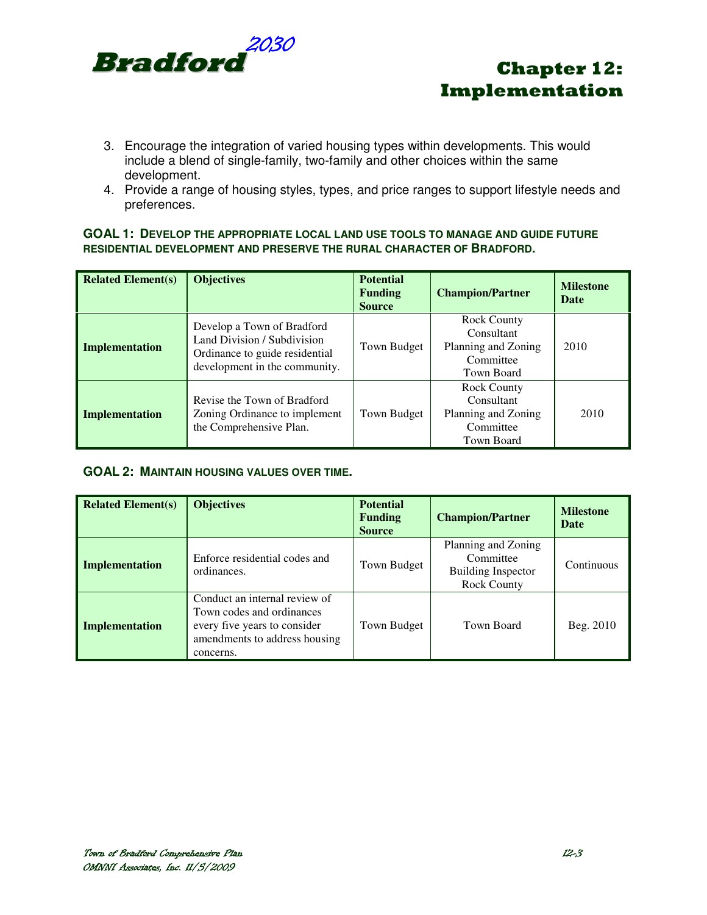

- 3. Encourage the integration of varied housing types within developments. This would include a blend of single-family, two-family and other choices within the same development.
- 4. Provide a range of housing styles, types, and price ranges to support lifestyle needs and preferences.

#### **GOAL 1: DEVELOP THE APPROPRIATE LOCAL LAND USE TOOLS TO MANAGE AND GUIDE FUTURE RESIDENTIAL DEVELOPMENT AND PRESERVE THE RURAL CHARACTER OF BRADFORD.**

| <b>Related Element(s)</b> | <b>Objectives</b>                                                                                                            | <b>Potential</b><br><b>Funding</b><br><b>Source</b> | <b>Champion/Partner</b>                                                            | <b>Milestone</b><br><b>Date</b> |
|---------------------------|------------------------------------------------------------------------------------------------------------------------------|-----------------------------------------------------|------------------------------------------------------------------------------------|---------------------------------|
| <b>Implementation</b>     | Develop a Town of Bradford<br>Land Division / Subdivision<br>Ordinance to guide residential<br>development in the community. | Town Budget                                         | <b>Rock County</b><br>Consultant<br>Planning and Zoning<br>Committee<br>Town Board | 2010                            |
| <b>Implementation</b>     | Revise the Town of Bradford<br>Zoning Ordinance to implement<br>the Comprehensive Plan.                                      | Town Budget                                         | <b>Rock County</b><br>Consultant<br>Planning and Zoning<br>Committee<br>Town Board | 2010                            |

### **GOAL 2: MAINTAIN HOUSING VALUES OVER TIME.**

| <b>Related Element(s)</b> | <b>Objectives</b>                                                                                                                        | <b>Potential</b><br><b>Funding</b><br><b>Source</b> | <b>Champion/Partner</b>                                                             | <b>Milestone</b><br>Date |
|---------------------------|------------------------------------------------------------------------------------------------------------------------------------------|-----------------------------------------------------|-------------------------------------------------------------------------------------|--------------------------|
| <b>Implementation</b>     | Enforce residential codes and<br>ordinances.                                                                                             | Town Budget                                         | Planning and Zoning<br>Committee<br><b>Building Inspector</b><br><b>Rock County</b> | Continuous               |
| Implementation            | Conduct an internal review of<br>Town codes and ordinances<br>every five years to consider<br>amendments to address housing<br>concerns. | Town Budget                                         | Town Board                                                                          | Beg. 2010                |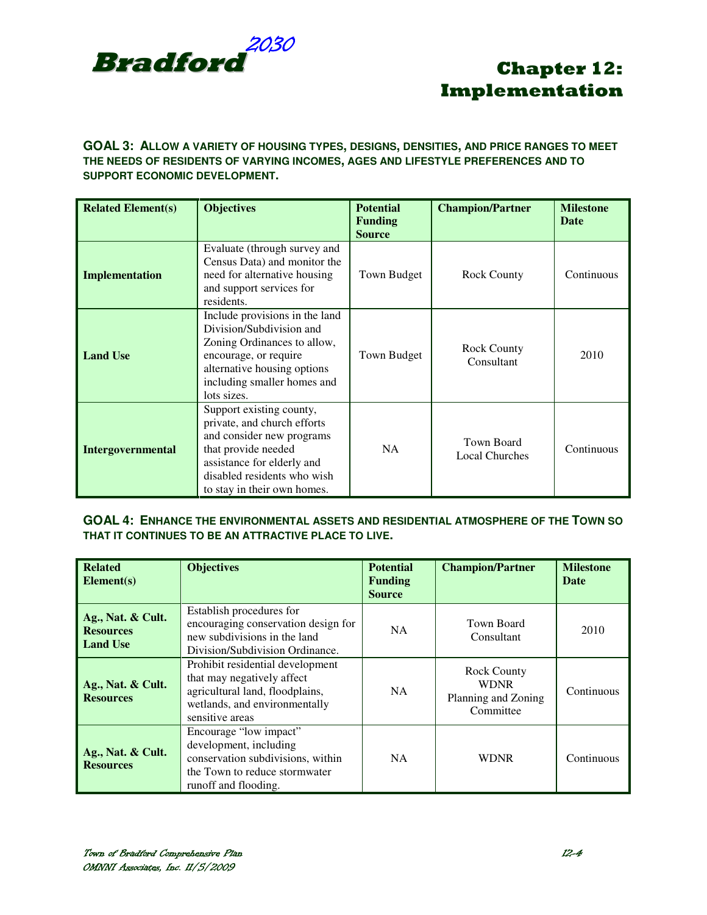

### **GOAL 3: ALLOW A VARIETY OF HOUSING TYPES, DESIGNS, DENSITIES, AND PRICE RANGES TO MEET THE NEEDS OF RESIDENTS OF VARYING INCOMES, AGES AND LIFESTYLE PREFERENCES AND TO SUPPORT ECONOMIC DEVELOPMENT.**

| <b>Related Element(s)</b> | <b>Objectives</b>                                                                                                                                                                                       | <b>Potential</b><br><b>Funding</b><br><b>Source</b> | <b>Champion/Partner</b>             | <b>Milestone</b><br><b>Date</b> |
|---------------------------|---------------------------------------------------------------------------------------------------------------------------------------------------------------------------------------------------------|-----------------------------------------------------|-------------------------------------|---------------------------------|
| Implementation            | Evaluate (through survey and<br>Census Data) and monitor the<br>need for alternative housing<br>and support services for<br>residents.                                                                  | Town Budget                                         | <b>Rock County</b>                  | Continuous                      |
| <b>Land Use</b>           | Include provisions in the land<br>Division/Subdivision and<br>Zoning Ordinances to allow,<br>encourage, or require<br>alternative housing options<br>including smaller homes and<br>lots sizes.         | Town Budget                                         | <b>Rock County</b><br>Consultant    | 2010                            |
| <b>Intergovernmental</b>  | Support existing county,<br>private, and church efforts<br>and consider new programs<br>that provide needed<br>assistance for elderly and<br>disabled residents who wish<br>to stay in their own homes. | <b>NA</b>                                           | Town Board<br><b>Local Churches</b> | Continuous                      |

#### **GOAL 4: ENHANCE THE ENVIRONMENTAL ASSETS AND RESIDENTIAL ATMOSPHERE OF THE TOWN SO THAT IT CONTINUES TO BE AN ATTRACTIVE PLACE TO LIVE.**

| <b>Related</b><br>Element(s)                             | <b>Objectives</b>                                                                                                                                     | <b>Potential</b><br><b>Funding</b><br><b>Source</b> | <b>Champion/Partner</b>                                               | <b>Milestone</b><br>Date |
|----------------------------------------------------------|-------------------------------------------------------------------------------------------------------------------------------------------------------|-----------------------------------------------------|-----------------------------------------------------------------------|--------------------------|
| Ag., Nat. & Cult.<br><b>Resources</b><br><b>Land Use</b> | Establish procedures for<br>encouraging conservation design for<br>new subdivisions in the land<br>Division/Subdivision Ordinance.                    | <b>NA</b>                                           | Town Board<br>Consultant                                              | 2010                     |
| Ag., Nat. & Cult.<br><b>Resources</b>                    | Prohibit residential development<br>that may negatively affect<br>agricultural land, floodplains,<br>wetlands, and environmentally<br>sensitive areas | NA.                                                 | <b>Rock County</b><br><b>WDNR</b><br>Planning and Zoning<br>Committee | Continuous               |
| Ag., Nat. & Cult.<br><b>Resources</b>                    | Encourage "low impact"<br>development, including<br>conservation subdivisions, within<br>the Town to reduce stormwater<br>runoff and flooding.        | NA.                                                 | <b>WDNR</b>                                                           | Continuous               |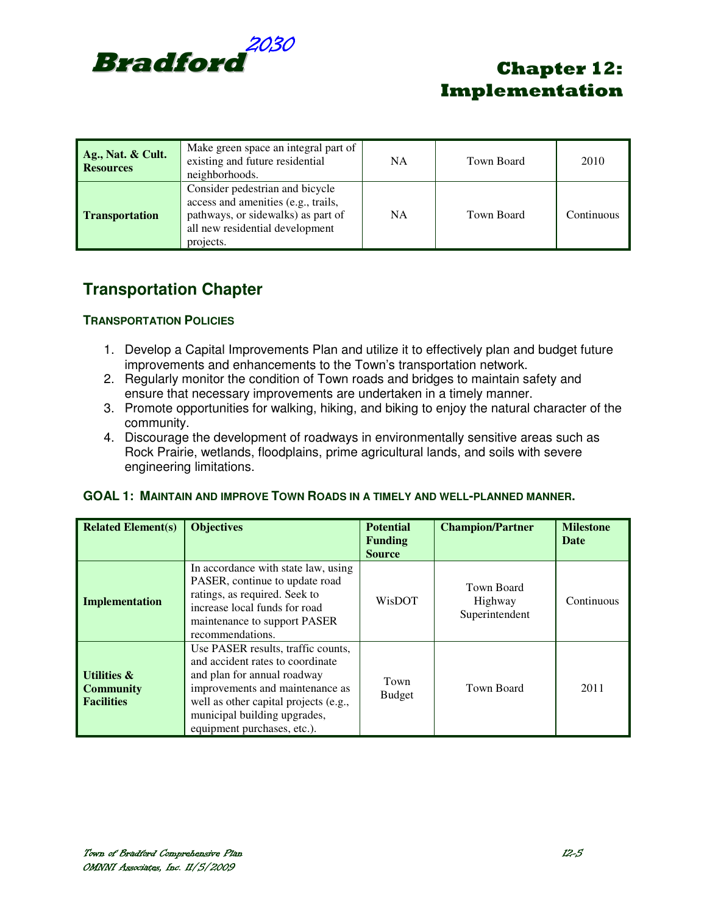

| Ag., Nat. & Cult.<br><b>Resources</b> | Make green space an integral part of<br>existing and future residential<br>neighborhoods.                                                                    | NA.       | Town Board | 2010       |
|---------------------------------------|--------------------------------------------------------------------------------------------------------------------------------------------------------------|-----------|------------|------------|
| <b>Transportation</b>                 | Consider pedestrian and bicycle<br>access and amenities (e.g., trails,<br>pathways, or sidewalks) as part of<br>all new residential development<br>projects. | <b>NA</b> | Town Board | Continuous |

## **Transportation Chapter**

### **TRANSPORTATION POLICIES**

- 1. Develop a Capital Improvements Plan and utilize it to effectively plan and budget future improvements and enhancements to the Town's transportation network.
- 2. Regularly monitor the condition of Town roads and bridges to maintain safety and ensure that necessary improvements are undertaken in a timely manner.
- 3. Promote opportunities for walking, hiking, and biking to enjoy the natural character of the community.
- 4. Discourage the development of roadways in environmentally sensitive areas such as Rock Prairie, wetlands, floodplains, prime agricultural lands, and soils with severe engineering limitations.

### **GOAL 1: MAINTAIN AND IMPROVE TOWN ROADS IN A TIMELY AND WELL-PLANNED MANNER.**

| <b>Related Element(s)</b>                                       | <b>Objectives</b>                                                                                                                                                                                                                                | <b>Potential</b><br><b>Funding</b><br><b>Source</b> | <b>Champion/Partner</b>                 | <b>Milestone</b><br><b>Date</b> |
|-----------------------------------------------------------------|--------------------------------------------------------------------------------------------------------------------------------------------------------------------------------------------------------------------------------------------------|-----------------------------------------------------|-----------------------------------------|---------------------------------|
| <b>Implementation</b>                                           | In accordance with state law, using<br>PASER, continue to update road<br>ratings, as required. Seek to<br>increase local funds for road<br>maintenance to support PASER<br>recommendations.                                                      | WisDOT                                              | Town Board<br>Highway<br>Superintendent | Continuous                      |
| <b>Utilities &amp;</b><br><b>Community</b><br><b>Facilities</b> | Use PASER results, traffic counts,<br>and accident rates to coordinate<br>and plan for annual roadway<br>improvements and maintenance as<br>well as other capital projects (e.g.,<br>municipal building upgrades,<br>equipment purchases, etc.). | Town<br><b>Budget</b>                               | Town Board                              | 2011                            |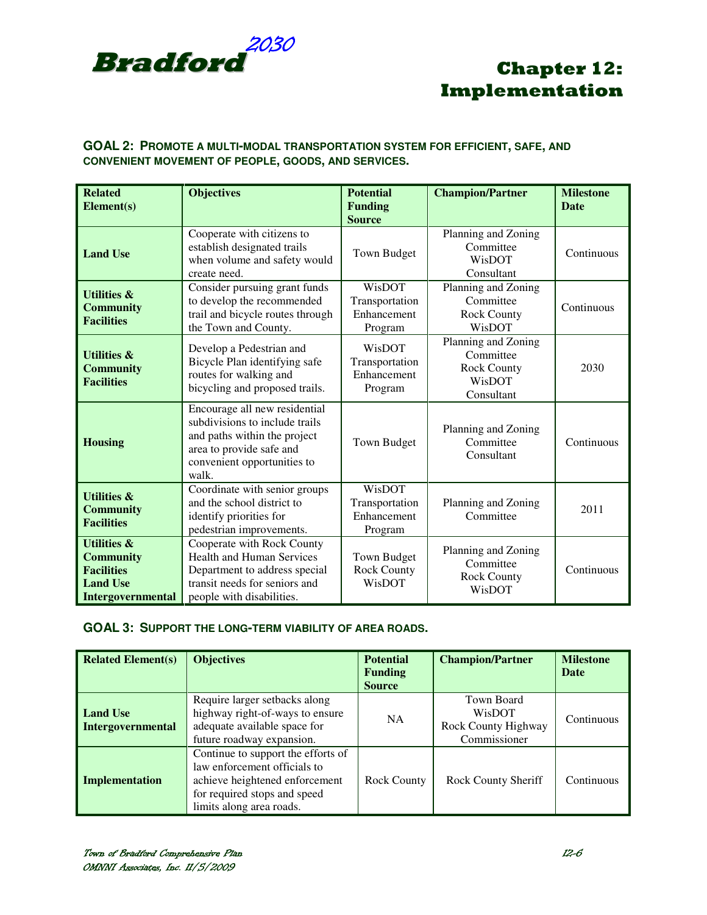

### **GOAL 2: PROMOTE A MULTI-MODAL TRANSPORTATION SYSTEM FOR EFFICIENT, SAFE, AND CONVENIENT MOVEMENT OF PEOPLE, GOODS, AND SERVICES.**

| <b>Related</b><br>Element(s)                                                                                   | <b>Objectives</b>                                                                                                                                                   | <b>Potential</b><br><b>Funding</b><br><b>Source</b>       | <b>Champion/Partner</b>                                                 | <b>Milestone</b><br><b>Date</b> |
|----------------------------------------------------------------------------------------------------------------|---------------------------------------------------------------------------------------------------------------------------------------------------------------------|-----------------------------------------------------------|-------------------------------------------------------------------------|---------------------------------|
| <b>Land Use</b>                                                                                                | Cooperate with citizens to<br>establish designated trails<br>when volume and safety would<br>create need.                                                           | <b>Town Budget</b>                                        | Planning and Zoning<br>Committee<br>WisDOT<br>Consultant                | Continuous                      |
| <b>Utilities &amp;</b><br><b>Community</b><br><b>Facilities</b>                                                | Consider pursuing grant funds<br>to develop the recommended<br>trail and bicycle routes through<br>the Town and County.                                             | WisDOT<br>Transportation<br>Enhancement<br>Program        | Planning and Zoning<br>Committee<br><b>Rock County</b><br>WisDOT        | Continuous                      |
| <b>Utilities &amp;</b><br><b>Community</b><br><b>Facilities</b>                                                | Develop a Pedestrian and<br>Bicycle Plan identifying safe<br>routes for walking and<br>bicycling and proposed trails.                                               | WisDOT<br>Transportation<br>Enhancement<br>Program        | Planning and Zoning<br>Committee<br>Rock County<br>WisDOT<br>Consultant | 2030                            |
| <b>Housing</b>                                                                                                 | Encourage all new residential<br>subdivisions to include trails<br>and paths within the project<br>area to provide safe and<br>convenient opportunities to<br>walk. | <b>Town Budget</b>                                        | Planning and Zoning<br>Committee<br>Consultant                          | Continuous                      |
| <b>Utilities &amp;</b><br><b>Community</b><br><b>Facilities</b>                                                | Coordinate with senior groups<br>and the school district to<br>identify priorities for<br>pedestrian improvements.                                                  | <b>WisDOT</b><br>Transportation<br>Enhancement<br>Program | Planning and Zoning<br>Committee                                        | 2011                            |
| <b>Utilities &amp;</b><br><b>Community</b><br><b>Facilities</b><br><b>Land Use</b><br><b>Intergovernmental</b> | Cooperate with Rock County<br><b>Health and Human Services</b><br>Department to address special<br>transit needs for seniors and<br>people with disabilities.       | Town Budget<br>Rock County<br>WisDOT                      | Planning and Zoning<br>Committee<br><b>Rock County</b><br>WisDOT        | Continuous                      |

### **GOAL 3: SUPPORT THE LONG-TERM VIABILITY OF AREA ROADS.**

| <b>Related Element(s)</b>            | <b>Objectives</b>                                                                                                                                                | <b>Potential</b><br><b>Funding</b><br><b>Source</b> | <b>Champion/Partner</b>                                     | <b>Milestone</b><br>Date |
|--------------------------------------|------------------------------------------------------------------------------------------------------------------------------------------------------------------|-----------------------------------------------------|-------------------------------------------------------------|--------------------------|
| <b>Land Use</b><br>Intergovernmental | Require larger setbacks along<br>highway right-of-ways to ensure<br>adequate available space for<br>future roadway expansion.                                    | <b>NA</b>                                           | Town Board<br>WisDOT<br>Rock County Highway<br>Commissioner | Continuous               |
| <b>Implementation</b>                | Continue to support the efforts of<br>law enforcement officials to<br>achieve heightened enforcement<br>for required stops and speed<br>limits along area roads. | <b>Rock County</b>                                  | <b>Rock County Sheriff</b>                                  | Continuous               |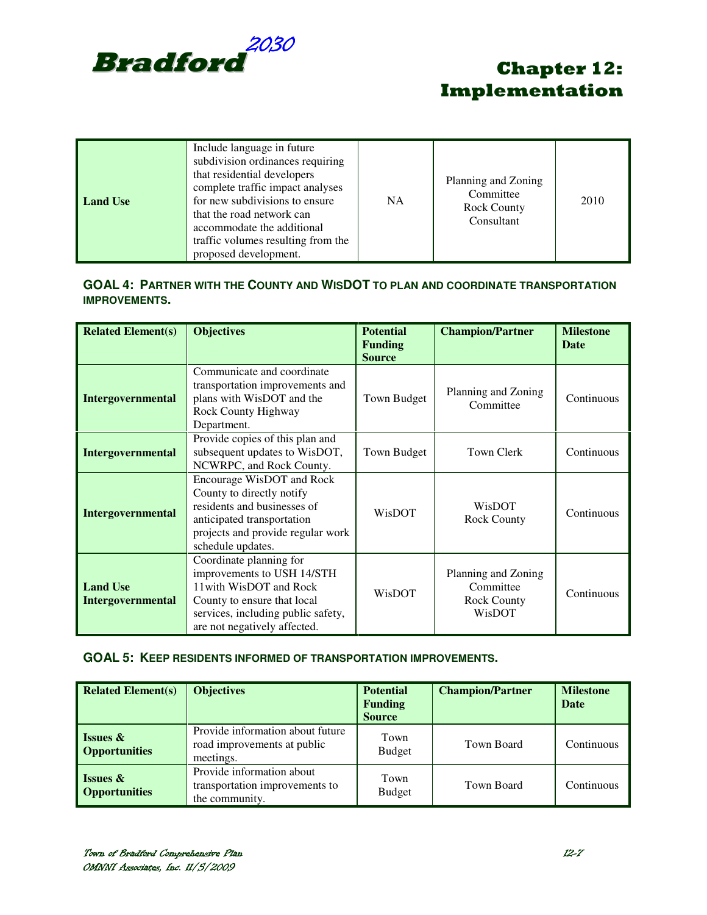

| <b>Land Use</b> | Include language in future<br>subdivision ordinances requiring<br>that residential developers<br>complete traffic impact analyses<br>for new subdivisions to ensure<br>that the road network can<br>accommodate the additional<br>traffic volumes resulting from the<br>proposed development. | <b>NA</b> | Planning and Zoning<br>Committee<br><b>Rock County</b><br>Consultant | 2010 |
|-----------------|-----------------------------------------------------------------------------------------------------------------------------------------------------------------------------------------------------------------------------------------------------------------------------------------------|-----------|----------------------------------------------------------------------|------|
|-----------------|-----------------------------------------------------------------------------------------------------------------------------------------------------------------------------------------------------------------------------------------------------------------------------------------------|-----------|----------------------------------------------------------------------|------|

### **GOAL 4: PARTNER WITH THE COUNTY AND WISDOT TO PLAN AND COORDINATE TRANSPORTATION IMPROVEMENTS.**

| <b>Related Element(s)</b>                   | <b>Objectives</b>                                                                                                                                                                     | <b>Potential</b><br><b>Funding</b><br><b>Source</b> | <b>Champion/Partner</b>                                          | <b>Milestone</b><br>Date |
|---------------------------------------------|---------------------------------------------------------------------------------------------------------------------------------------------------------------------------------------|-----------------------------------------------------|------------------------------------------------------------------|--------------------------|
| Intergovernmental                           | Communicate and coordinate<br>transportation improvements and<br>plans with WisDOT and the<br>Rock County Highway<br>Department.                                                      | Town Budget                                         | Planning and Zoning<br>Committee                                 | Continuous               |
| <b>Intergovernmental</b>                    | Provide copies of this plan and<br>subsequent updates to WisDOT,<br>NCWRPC, and Rock County.                                                                                          | Town Budget                                         | <b>Town Clerk</b>                                                | Continuous               |
| <b>Intergovernmental</b>                    | Encourage WisDOT and Rock<br>County to directly notify<br>residents and businesses of<br>anticipated transportation<br>projects and provide regular work<br>schedule updates.         | WisDOT                                              | WisDOT<br><b>Rock County</b>                                     | Continuous               |
| <b>Land Use</b><br><b>Intergovernmental</b> | Coordinate planning for<br>improvements to USH 14/STH<br>11 with WisDOT and Rock<br>County to ensure that local<br>services, including public safety,<br>are not negatively affected. | <b>WisDOT</b>                                       | Planning and Zoning<br>Committee<br><b>Rock County</b><br>WisDOT | Continuous               |

### **GOAL 5: KEEP RESIDENTS INFORMED OF TRANSPORTATION IMPROVEMENTS.**

| <b>Related Element(s)</b>                   | <b>Objectives</b>                                                             | <b>Potential</b><br><b>Funding</b><br><b>Source</b> | <b>Champion/Partner</b> | <b>Milestone</b><br>Date |
|---------------------------------------------|-------------------------------------------------------------------------------|-----------------------------------------------------|-------------------------|--------------------------|
| <b>Issues &amp;</b><br><b>Opportunities</b> | Provide information about future<br>road improvements at public<br>meetings.  | Town<br><b>Budget</b>                               | Town Board              | Continuous               |
| <b>Issues &amp;</b><br><b>Opportunities</b> | Provide information about<br>transportation improvements to<br>the community. | Town<br><b>Budget</b>                               | Town Board              | Continuous               |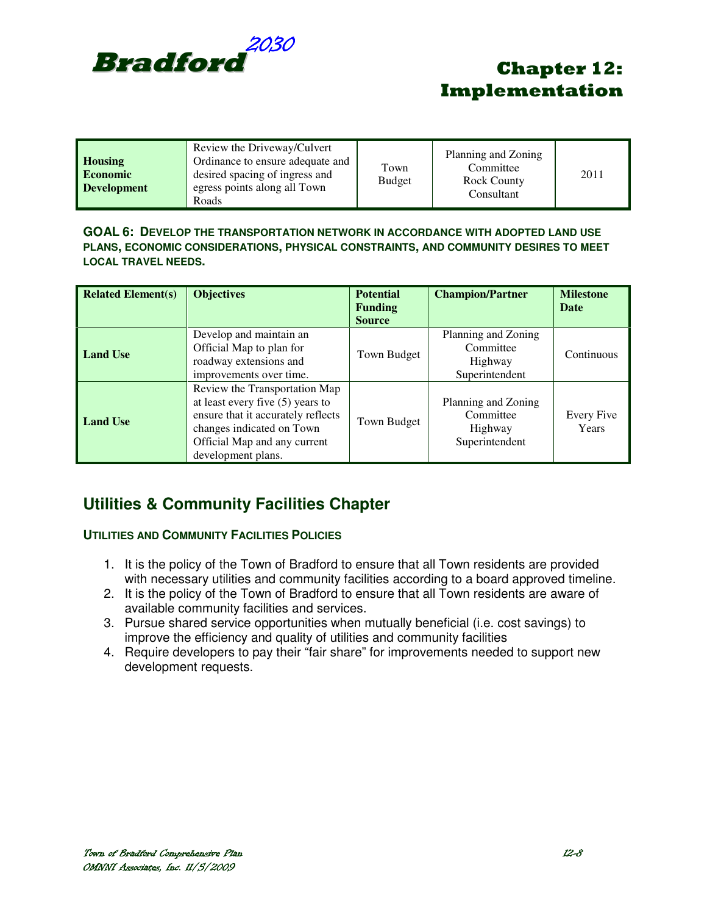

| <b>Housing</b><br><b>Economic</b><br><b>Development</b> | Review the Driveway/Culvert<br>Ordinance to ensure adequate and<br>desired spacing of ingress and<br>egress points along all Town<br>Roads | Town<br><b>Budget</b> | Planning and Zoning<br>Committee<br>Rock County<br>Consultant | 2011 |
|---------------------------------------------------------|--------------------------------------------------------------------------------------------------------------------------------------------|-----------------------|---------------------------------------------------------------|------|
|---------------------------------------------------------|--------------------------------------------------------------------------------------------------------------------------------------------|-----------------------|---------------------------------------------------------------|------|

#### **GOAL 6: DEVELOP THE TRANSPORTATION NETWORK IN ACCORDANCE WITH ADOPTED LAND USE PLANS, ECONOMIC CONSIDERATIONS, PHYSICAL CONSTRAINTS, AND COMMUNITY DESIRES TO MEET LOCAL TRAVEL NEEDS.**

| <b>Related Element(s)</b> | <b>Objectives</b>                                                                                                                                                                            | <b>Potential</b><br><b>Funding</b><br><b>Source</b> | <b>Champion/Partner</b>                                       | <b>Milestone</b><br>Date |
|---------------------------|----------------------------------------------------------------------------------------------------------------------------------------------------------------------------------------------|-----------------------------------------------------|---------------------------------------------------------------|--------------------------|
| <b>Land Use</b>           | Develop and maintain an<br>Official Map to plan for<br>roadway extensions and<br>improvements over time.                                                                                     | Town Budget                                         | Planning and Zoning<br>Committee<br>Highway<br>Superintendent | Continuous               |
| <b>Land Use</b>           | Review the Transportation Map<br>at least every five $(5)$ years to<br>ensure that it accurately reflects<br>changes indicated on Town<br>Official Map and any current<br>development plans. | Town Budget                                         | Planning and Zoning<br>Committee<br>Highway<br>Superintendent | Every Five<br>Years      |

## **Utilities & Community Facilities Chapter**

### **UTILITIES AND COMMUNITY FACILITIES POLICIES**

- 1. It is the policy of the Town of Bradford to ensure that all Town residents are provided with necessary utilities and community facilities according to a board approved timeline.
- 2. It is the policy of the Town of Bradford to ensure that all Town residents are aware of available community facilities and services.
- 3. Pursue shared service opportunities when mutually beneficial (i.e. cost savings) to improve the efficiency and quality of utilities and community facilities
- 4. Require developers to pay their "fair share" for improvements needed to support new development requests.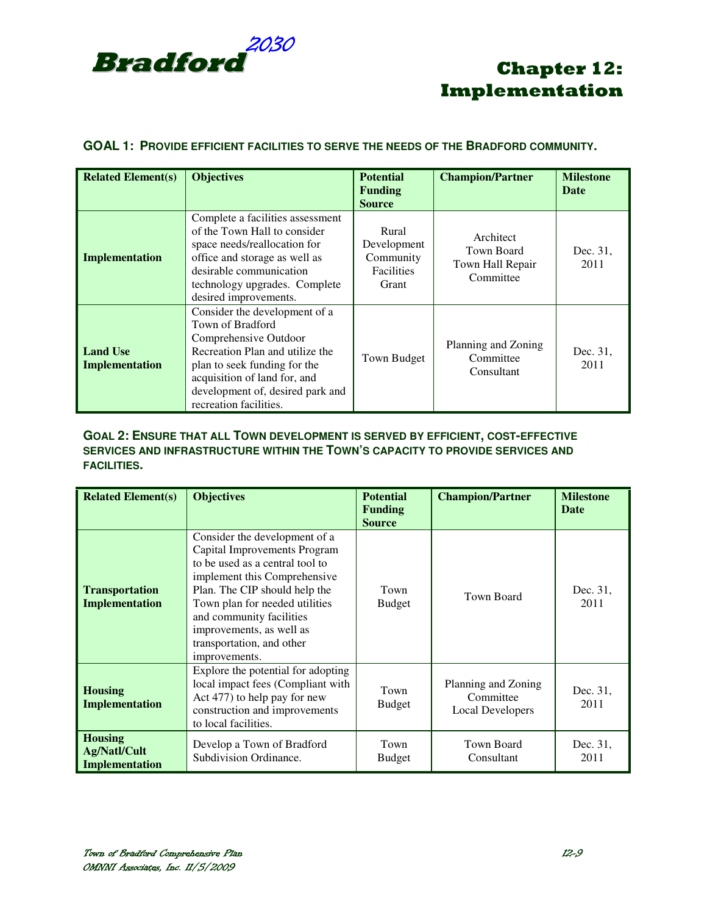

### **GOAL 1: PROVIDE EFFICIENT FACILITIES TO SERVE THE NEEDS OF THE BRADFORD COMMUNITY.**

| <b>Related Element(s)</b>         | <b>Objectives</b>                                                                                                                                                                                                                           | <b>Potential</b><br><b>Funding</b><br><b>Source</b>             | <b>Champion/Partner</b>                                  | <b>Milestone</b><br><b>Date</b> |
|-----------------------------------|---------------------------------------------------------------------------------------------------------------------------------------------------------------------------------------------------------------------------------------------|-----------------------------------------------------------------|----------------------------------------------------------|---------------------------------|
| Implementation                    | Complete a facilities assessment<br>of the Town Hall to consider<br>space needs/reallocation for<br>office and storage as well as<br>desirable communication<br>technology upgrades. Complete<br>desired improvements.                      | Rural<br>Development<br>Community<br><b>Facilities</b><br>Grant | Architect<br>Town Board<br>Town Hall Repair<br>Committee | Dec. 31,<br>2011                |
| <b>Land Use</b><br>Implementation | Consider the development of a<br>Town of Bradford<br>Comprehensive Outdoor<br>Recreation Plan and utilize the<br>plan to seek funding for the<br>acquisition of land for, and<br>development of, desired park and<br>recreation facilities. | Town Budget                                                     | Planning and Zoning<br>Committee<br>Consultant           | Dec. 31,<br>2011                |

### **GOAL 2: ENSURE THAT ALL TOWN DEVELOPMENT IS SERVED BY EFFICIENT, COST-EFFECTIVE SERVICES AND INFRASTRUCTURE WITHIN THE TOWN'S CAPACITY TO PROVIDE SERVICES AND FACILITIES.**

| <b>Related Element(s)</b>                               | <b>Objectives</b>                                                                                                                                                                                                                                                                                         | <b>Potential</b><br><b>Funding</b><br><b>Source</b> | <b>Champion/Partner</b>                              | <b>Milestone</b><br><b>Date</b> |
|---------------------------------------------------------|-----------------------------------------------------------------------------------------------------------------------------------------------------------------------------------------------------------------------------------------------------------------------------------------------------------|-----------------------------------------------------|------------------------------------------------------|---------------------------------|
| <b>Transportation</b><br><b>Implementation</b>          | Consider the development of a<br>Capital Improvements Program<br>to be used as a central tool to<br>implement this Comprehensive<br>Plan. The CIP should help the<br>Town plan for needed utilities<br>and community facilities<br>improvements, as well as<br>transportation, and other<br>improvements. | Town<br><b>Budget</b>                               | Town Board                                           | Dec. 31,<br>2011                |
| <b>Housing</b><br><b>Implementation</b>                 | Explore the potential for adopting<br>local impact fees (Compliant with<br>Act 477) to help pay for new<br>construction and improvements<br>to local facilities.                                                                                                                                          | Town<br><b>Budget</b>                               | Planning and Zoning<br>Committee<br>Local Developers | Dec. 31,<br>2011                |
| <b>Housing</b><br><b>Ag/Natl/Cult</b><br>Implementation | Develop a Town of Bradford<br>Subdivision Ordinance.                                                                                                                                                                                                                                                      | Town<br><b>Budget</b>                               | <b>Town Board</b><br>Consultant                      | Dec. 31,<br>2011                |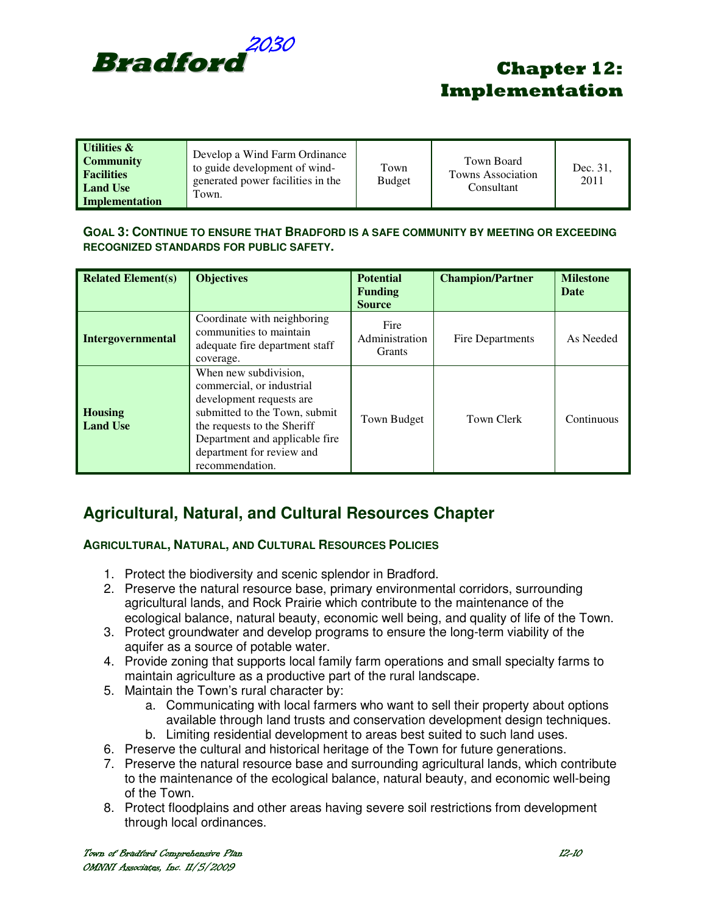

| Utilities &<br><b>Community</b><br><b>Facilities</b><br><b>Land Use</b><br><b>Implementation</b> | Develop a Wind Farm Ordinance<br>to guide development of wind-<br>generated power facilities in the<br>Town. | Town<br><b>Budget</b> | Town Board<br><b>Towns Association</b><br>Consultant | Dec. 31.<br>2011 |
|--------------------------------------------------------------------------------------------------|--------------------------------------------------------------------------------------------------------------|-----------------------|------------------------------------------------------|------------------|
|--------------------------------------------------------------------------------------------------|--------------------------------------------------------------------------------------------------------------|-----------------------|------------------------------------------------------|------------------|

### **GOAL 3: CONTINUE TO ENSURE THAT BRADFORD IS A SAFE COMMUNITY BY MEETING OR EXCEEDING RECOGNIZED STANDARDS FOR PUBLIC SAFETY.**

| <b>Related Element(s)</b>         | <b>Objectives</b>                                                                                                                                                                                                                | <b>Potential</b><br><b>Funding</b><br><b>Source</b> | <b>Champion/Partner</b> | <b>Milestone</b><br>Date |
|-----------------------------------|----------------------------------------------------------------------------------------------------------------------------------------------------------------------------------------------------------------------------------|-----------------------------------------------------|-------------------------|--------------------------|
| <b>Intergovernmental</b>          | Coordinate with neighboring<br>communities to maintain<br>adequate fire department staff<br>coverage.                                                                                                                            | Fire<br>Administration<br><b>Grants</b>             | Fire Departments        | As Needed                |
| <b>Housing</b><br><b>Land Use</b> | When new subdivision,<br>commercial, or industrial<br>development requests are<br>submitted to the Town, submit<br>the requests to the Sheriff<br>Department and applicable fire<br>department for review and<br>recommendation. | Town Budget                                         | Town Clerk              | Continuous               |

## **Agricultural, Natural, and Cultural Resources Chapter**

### **AGRICULTURAL, NATURAL, AND CULTURAL RESOURCES POLICIES**

- 1. Protect the biodiversity and scenic splendor in Bradford.
- 2. Preserve the natural resource base, primary environmental corridors, surrounding agricultural lands, and Rock Prairie which contribute to the maintenance of the ecological balance, natural beauty, economic well being, and quality of life of the Town.
- 3. Protect groundwater and develop programs to ensure the long-term viability of the aquifer as a source of potable water.
- 4. Provide zoning that supports local family farm operations and small specialty farms to maintain agriculture as a productive part of the rural landscape.
- 5. Maintain the Town's rural character by:
	- a. Communicating with local farmers who want to sell their property about options available through land trusts and conservation development design techniques.
	- b. Limiting residential development to areas best suited to such land uses.
- 6. Preserve the cultural and historical heritage of the Town for future generations.
- 7. Preserve the natural resource base and surrounding agricultural lands, which contribute to the maintenance of the ecological balance, natural beauty, and economic well-being of the Town.
- 8. Protect floodplains and other areas having severe soil restrictions from development through local ordinances.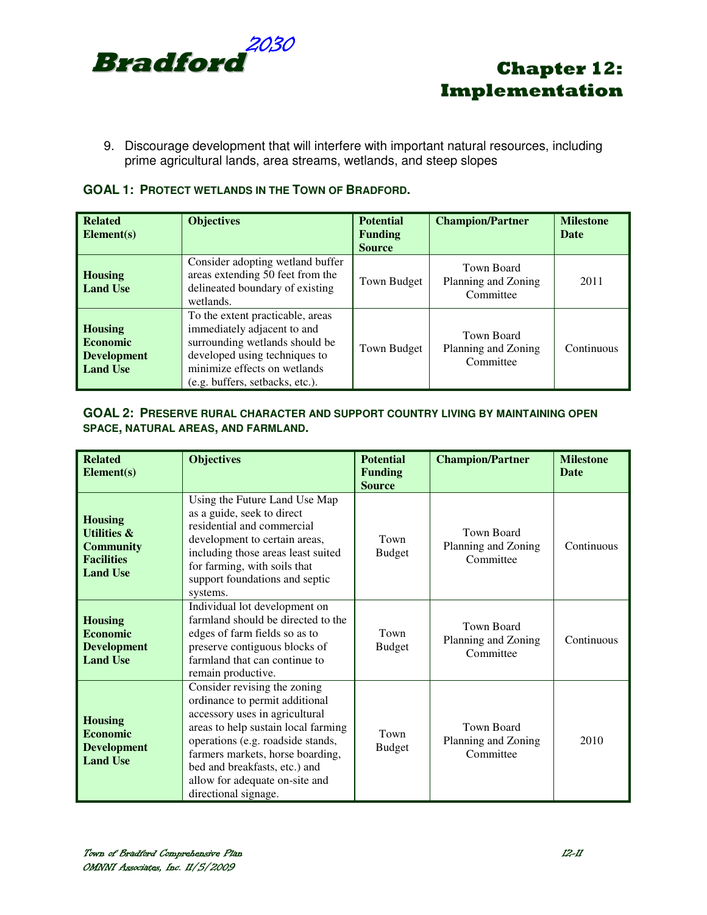

9. Discourage development that will interfere with important natural resources, including prime agricultural lands, area streams, wetlands, and steep slopes

| <b>GOAL 1: PROTECT WETLANDS IN THE TOWN OF BRADFORD.</b> |
|----------------------------------------------------------|
|----------------------------------------------------------|

| <b>Related</b><br>Element(s)                                               | <b>Objectives</b>                                                                                                                                                                                     | <b>Potential</b><br><b>Funding</b><br><b>Source</b> | <b>Champion/Partner</b>                        | <b>Milestone</b><br><b>Date</b> |
|----------------------------------------------------------------------------|-------------------------------------------------------------------------------------------------------------------------------------------------------------------------------------------------------|-----------------------------------------------------|------------------------------------------------|---------------------------------|
| <b>Housing</b><br><b>Land Use</b>                                          | Consider adopting wetland buffer<br>areas extending 50 feet from the<br>delineated boundary of existing<br>wetlands.                                                                                  | Town Budget                                         | Town Board<br>Planning and Zoning<br>Committee | 2011                            |
| <b>Housing</b><br><b>Economic</b><br><b>Development</b><br><b>Land Use</b> | To the extent practicable, areas<br>immediately adjacent to and<br>surrounding wetlands should be<br>developed using techniques to<br>minimize effects on wetlands<br>(e.g. buffers, setbacks, etc.). | Town Budget                                         | Town Board<br>Planning and Zoning<br>Committee | Continuous                      |

### **GOAL 2: PRESERVE RURAL CHARACTER AND SUPPORT COUNTRY LIVING BY MAINTAINING OPEN SPACE, NATURAL AREAS, AND FARMLAND.**

| <b>Related</b><br>Element(s)                                                                         | <b>Objectives</b>                                                                                                                                                                                                                                                                                           | <b>Potential</b><br><b>Funding</b><br><b>Source</b> | <b>Champion/Partner</b>                               | <b>Milestone</b><br><b>Date</b> |
|------------------------------------------------------------------------------------------------------|-------------------------------------------------------------------------------------------------------------------------------------------------------------------------------------------------------------------------------------------------------------------------------------------------------------|-----------------------------------------------------|-------------------------------------------------------|---------------------------------|
| <b>Housing</b><br><b>Utilities &amp;</b><br><b>Community</b><br><b>Facilities</b><br><b>Land Use</b> | Using the Future Land Use Map<br>as a guide, seek to direct<br>residential and commercial<br>development to certain areas,<br>including those areas least suited<br>for farming, with soils that<br>support foundations and septic<br>systems.                                                              | Town<br><b>Budget</b>                               | Town Board<br>Planning and Zoning<br>Committee        | Continuous                      |
| <b>Housing</b><br><b>Economic</b><br><b>Development</b><br><b>Land Use</b>                           | Individual lot development on<br>farmland should be directed to the<br>edges of farm fields so as to<br>preserve contiguous blocks of<br>farmland that can continue to<br>remain productive.                                                                                                                | Town<br><b>Budget</b>                               | Town Board<br>Planning and Zoning<br>Committee        | Continuous                      |
| <b>Housing</b><br><b>Economic</b><br><b>Development</b><br><b>Land Use</b>                           | Consider revising the zoning<br>ordinance to permit additional<br>accessory uses in agricultural<br>areas to help sustain local farming<br>operations (e.g. roadside stands,<br>farmers markets, horse boarding,<br>bed and breakfasts, etc.) and<br>allow for adequate on-site and<br>directional signage. | Town<br><b>Budget</b>                               | <b>Town Board</b><br>Planning and Zoning<br>Committee | 2010                            |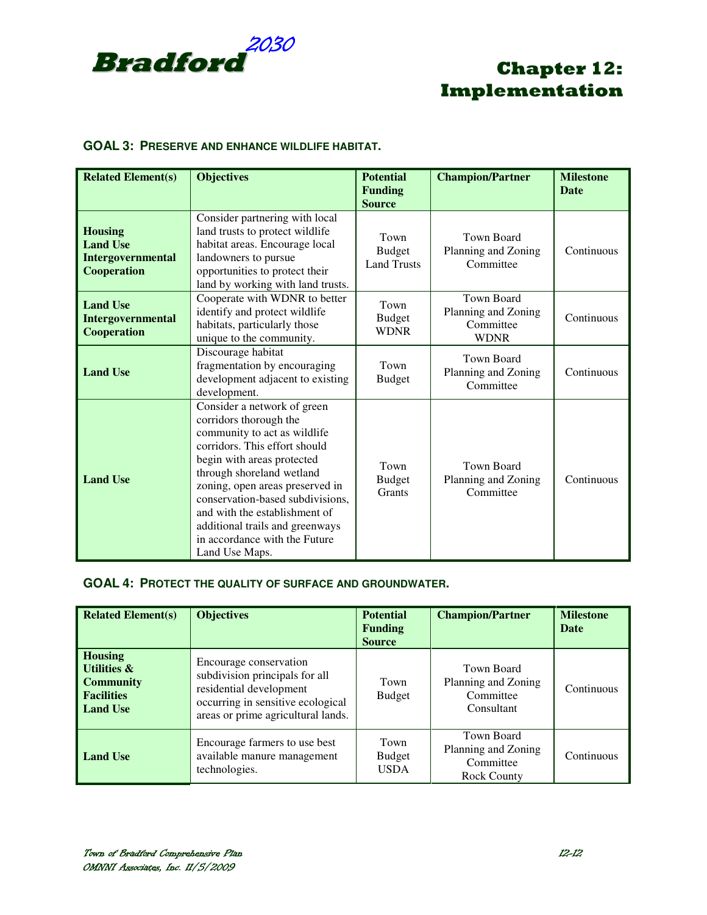

### **GOAL 3: PRESERVE AND ENHANCE WILDLIFE HABITAT.**

| <b>Related Element(s)</b>                                                    | <b>Objectives</b>                                                                                                                                                                                                                                                                                                                                                               | <b>Potential</b><br><b>Funding</b><br><b>Source</b> | <b>Champion/Partner</b>                                       | <b>Milestone</b><br><b>Date</b> |
|------------------------------------------------------------------------------|---------------------------------------------------------------------------------------------------------------------------------------------------------------------------------------------------------------------------------------------------------------------------------------------------------------------------------------------------------------------------------|-----------------------------------------------------|---------------------------------------------------------------|---------------------------------|
| <b>Housing</b><br><b>Land Use</b><br><b>Intergovernmental</b><br>Cooperation | Consider partnering with local<br>land trusts to protect wildlife<br>habitat areas. Encourage local<br>landowners to pursue<br>opportunities to protect their<br>land by working with land trusts.                                                                                                                                                                              | Town<br><b>Budget</b><br><b>Land Trusts</b>         | <b>Town Board</b><br>Planning and Zoning<br>Committee         | Continuous                      |
| <b>Land Use</b><br>Intergovernmental<br>Cooperation                          | Cooperate with WDNR to better<br>identify and protect wildlife<br>habitats, particularly those<br>unique to the community.                                                                                                                                                                                                                                                      | Town<br><b>Budget</b><br><b>WDNR</b>                | Town Board<br>Planning and Zoning<br>Committee<br><b>WDNR</b> | Continuous                      |
| <b>Land Use</b>                                                              | Discourage habitat<br>fragmentation by encouraging<br>development adjacent to existing<br>development.                                                                                                                                                                                                                                                                          | Town<br><b>Budget</b>                               | Town Board<br>Planning and Zoning<br>Committee                | Continuous                      |
| <b>Land Use</b>                                                              | Consider a network of green<br>corridors thorough the<br>community to act as wildlife<br>corridors. This effort should<br>begin with areas protected<br>through shoreland wetland<br>zoning, open areas preserved in<br>conservation-based subdivisions,<br>and with the establishment of<br>additional trails and greenways<br>in accordance with the Future<br>Land Use Maps. | Town<br><b>Budget</b><br>Grants                     | <b>Town Board</b><br>Planning and Zoning<br>Committee         | Continuous                      |

### **GOAL 4: PROTECT THE QUALITY OF SURFACE AND GROUNDWATER.**

| <b>Related Element(s)</b>                                                                            | <b>Objectives</b>                                                                                                                                              | <b>Potential</b><br><b>Funding</b><br><b>Source</b> | <b>Champion/Partner</b>                                              | <b>Milestone</b><br>Date |
|------------------------------------------------------------------------------------------------------|----------------------------------------------------------------------------------------------------------------------------------------------------------------|-----------------------------------------------------|----------------------------------------------------------------------|--------------------------|
| <b>Housing</b><br><b>Utilities &amp;</b><br><b>Community</b><br><b>Facilities</b><br><b>Land Use</b> | Encourage conservation<br>subdivision principals for all<br>residential development<br>occurring in sensitive ecological<br>areas or prime agricultural lands. | Town<br><b>Budget</b>                               | Town Board<br>Planning and Zoning<br>Committee<br>Consultant         | Continuous               |
| <b>Land Use</b>                                                                                      | Encourage farmers to use best<br>available manure management<br>technologies.                                                                                  | Town<br><b>Budget</b><br><b>USDA</b>                | Town Board<br>Planning and Zoning<br>Committee<br><b>Rock County</b> | Continuous               |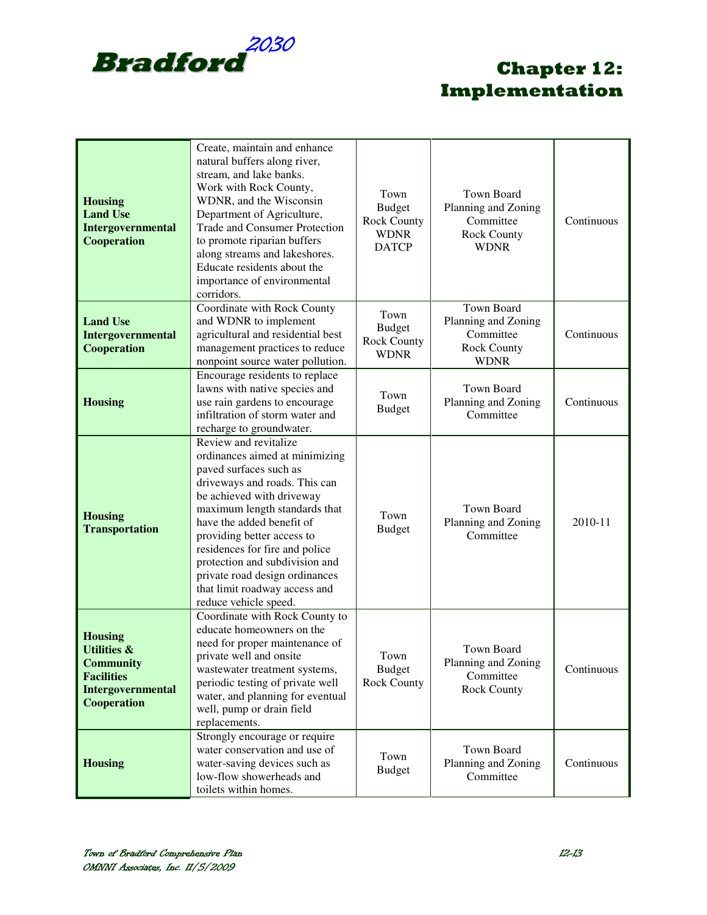

| <b>Housing</b><br><b>Land Use</b><br>Intergovernmental<br>Cooperation                                                 | Create, maintain and enhance<br>natural buffers along river,<br>stream, and lake banks.<br>Work with Rock County,<br>WDNR, and the Wisconsin<br>Department of Agriculture,<br>Trade and Consumer Protection<br>to promote riparian buffers<br>along streams and lakeshores.<br>Educate residents about the<br>importance of environmental<br>corridors.                                                     | Town<br><b>Budget</b><br><b>Rock County</b><br><b>WDNR</b><br><b>DATCP</b> | <b>Town Board</b><br>Planning and Zoning<br>Committee<br><b>Rock County</b><br><b>WDNR</b> | Continuous |
|-----------------------------------------------------------------------------------------------------------------------|-------------------------------------------------------------------------------------------------------------------------------------------------------------------------------------------------------------------------------------------------------------------------------------------------------------------------------------------------------------------------------------------------------------|----------------------------------------------------------------------------|--------------------------------------------------------------------------------------------|------------|
| <b>Land Use</b><br>Intergovernmental<br><b>Cooperation</b>                                                            | Coordinate with Rock County<br>and WDNR to implement<br>agricultural and residential best<br>management practices to reduce<br>nonpoint source water pollution.                                                                                                                                                                                                                                             | Town<br><b>Budget</b><br><b>Rock County</b><br><b>WDNR</b>                 | Town Board<br>Planning and Zoning<br>Committee<br><b>Rock County</b><br><b>WDNR</b>        | Continuous |
| <b>Housing</b>                                                                                                        | Encourage residents to replace<br>lawns with native species and<br>use rain gardens to encourage<br>infiltration of storm water and<br>recharge to groundwater.                                                                                                                                                                                                                                             | Town<br><b>Budget</b>                                                      | Town Board<br>Planning and Zoning<br>Committee                                             | Continuous |
| <b>Housing</b><br><b>Transportation</b>                                                                               | Review and revitalize<br>ordinances aimed at minimizing<br>paved surfaces such as<br>driveways and roads. This can<br>be achieved with driveway<br>maximum length standards that<br>have the added benefit of<br>providing better access to<br>residences for fire and police<br>protection and subdivision and<br>private road design ordinances<br>that limit roadway access and<br>reduce vehicle speed. | Town<br><b>Budget</b>                                                      | <b>Town Board</b><br>Planning and Zoning<br>Committee                                      | 2010-11    |
| <b>Housing</b><br><b>Utilities &amp;</b><br><b>Community</b><br><b>Facilities</b><br>Intergovernmental<br>Cooperation | Coordinate with Rock County to<br>educate homeowners on the<br>need for proper maintenance of<br>private well and onsite<br>wastewater treatment systems,<br>periodic testing of private well<br>water, and planning for eventual<br>well, pump or drain field<br>replacements.                                                                                                                             | Town<br><b>Budget</b><br><b>Rock County</b>                                | Town Board<br>Planning and Zoning<br>Committee<br><b>Rock County</b>                       | Continuous |
| <b>Housing</b>                                                                                                        | Strongly encourage or require<br>water conservation and use of<br>water-saving devices such as<br>low-flow showerheads and<br>toilets within homes.                                                                                                                                                                                                                                                         | Town<br><b>Budget</b>                                                      | Town Board<br>Planning and Zoning<br>Committee                                             | Continuous |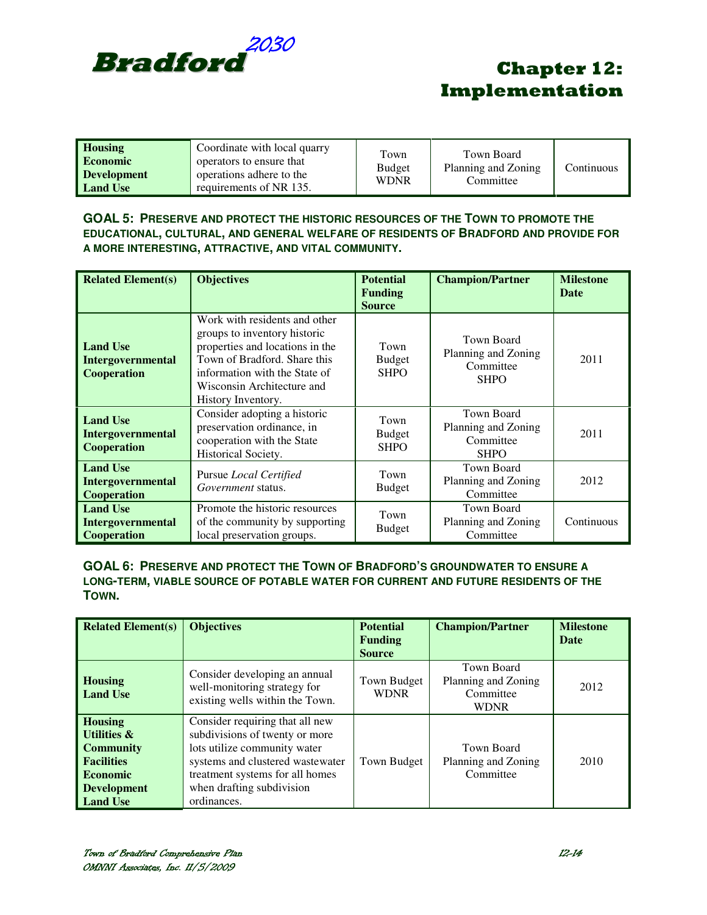

| Coordinate with local quarry<br><b>Housing</b><br>operators to ensure that<br><b>Economic</b><br>operations adhere to the<br><b>Development</b><br>requirements of NR 135.<br><b>Land Use</b> | Town<br><b>Budget</b><br><b>WDNR</b> | Town Board<br>Planning and Zoning<br>Committee | Continuous |
|-----------------------------------------------------------------------------------------------------------------------------------------------------------------------------------------------|--------------------------------------|------------------------------------------------|------------|
|-----------------------------------------------------------------------------------------------------------------------------------------------------------------------------------------------|--------------------------------------|------------------------------------------------|------------|

### **GOAL 5: PRESERVE AND PROTECT THE HISTORIC RESOURCES OF THE TOWN TO PROMOTE THE EDUCATIONAL, CULTURAL, AND GENERAL WELFARE OF RESIDENTS OF BRADFORD AND PROVIDE FOR A MORE INTERESTING, ATTRACTIVE, AND VITAL COMMUNITY.**

| <b>Related Element(s)</b>                                  | <b>Objectives</b>                                                                                                                                                                                                     | <b>Potential</b><br><b>Funding</b><br><b>Source</b> | <b>Champion/Partner</b>                                              | <b>Milestone</b><br>Date |
|------------------------------------------------------------|-----------------------------------------------------------------------------------------------------------------------------------------------------------------------------------------------------------------------|-----------------------------------------------------|----------------------------------------------------------------------|--------------------------|
| <b>Land Use</b><br><b>Intergovernmental</b><br>Cooperation | Work with residents and other<br>groups to inventory historic<br>properties and locations in the<br>Town of Bradford. Share this<br>information with the State of<br>Wisconsin Architecture and<br>History Inventory. | Town<br><b>Budget</b><br><b>SHPO</b>                | <b>Town Board</b><br>Planning and Zoning<br>Committee<br><b>SHPO</b> | 2011                     |
| <b>Land Use</b><br><b>Intergovernmental</b><br>Cooperation | Consider adopting a historic<br>preservation ordinance, in<br>cooperation with the State<br>Historical Society.                                                                                                       | Town<br><b>Budget</b><br><b>SHPO</b>                | <b>Town Board</b><br>Planning and Zoning<br>Committee<br><b>SHPO</b> | 2011                     |
| <b>Land Use</b><br>Intergovernmental<br>Cooperation        | Pursue <i>Local Certified</i><br>Government status.                                                                                                                                                                   | Town<br><b>Budget</b>                               | <b>Town Board</b><br>Planning and Zoning<br>Committee                | 2012                     |
| <b>Land Use</b><br>Intergovernmental<br>Cooperation        | Promote the historic resources<br>of the community by supporting<br>local preservation groups.                                                                                                                        | Town<br><b>Budget</b>                               | <b>Town Board</b><br>Planning and Zoning<br>Committee                | Continuous               |

#### **GOAL 6: PRESERVE AND PROTECT THE TOWN OF BRADFORD'S GROUNDWATER TO ENSURE A LONG-TERM, VIABLE SOURCE OF POTABLE WATER FOR CURRENT AND FUTURE RESIDENTS OF THE TOWN.**

| <b>Related Element(s)</b>                                                                                                                     | <b>Objectives</b>                                                                                                                                                                                                    | <b>Potential</b><br><b>Funding</b><br><b>Source</b> | <b>Champion/Partner</b>                                       | <b>Milestone</b><br><b>Date</b> |
|-----------------------------------------------------------------------------------------------------------------------------------------------|----------------------------------------------------------------------------------------------------------------------------------------------------------------------------------------------------------------------|-----------------------------------------------------|---------------------------------------------------------------|---------------------------------|
| <b>Housing</b><br><b>Land Use</b>                                                                                                             | Consider developing an annual<br>well-monitoring strategy for<br>existing wells within the Town.                                                                                                                     | Town Budget<br><b>WDNR</b>                          | Town Board<br>Planning and Zoning<br>Committee<br><b>WDNR</b> | 2012                            |
| <b>Housing</b><br><b>Utilities &amp;</b><br><b>Community</b><br><b>Facilities</b><br><b>Economic</b><br><b>Development</b><br><b>Land Use</b> | Consider requiring that all new<br>subdivisions of twenty or more<br>lots utilize community water<br>systems and clustered wastewater<br>treatment systems for all homes<br>when drafting subdivision<br>ordinances. | Town Budget                                         | Town Board<br>Planning and Zoning<br>Committee                | 2010                            |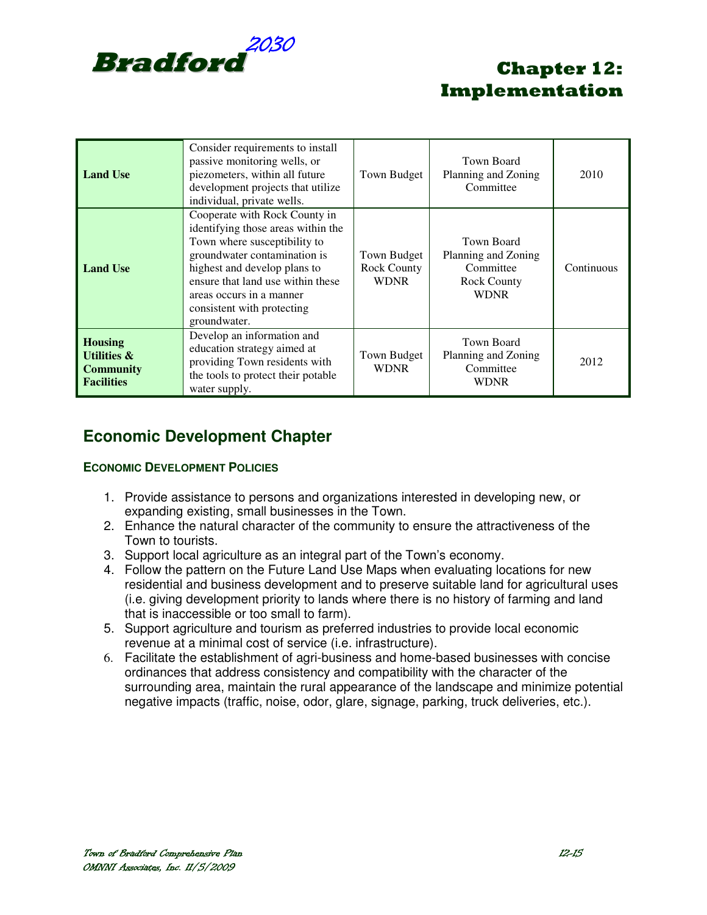

| <b>Land Use</b>                                                                   | Consider requirements to install<br>passive monitoring wells, or<br>piezometers, within all future<br>development projects that utilize<br>individual, private wells.                                                                                                              | Town Budget                                      | Town Board<br>Planning and Zoning<br>Committee                                      | 2010       |
|-----------------------------------------------------------------------------------|------------------------------------------------------------------------------------------------------------------------------------------------------------------------------------------------------------------------------------------------------------------------------------|--------------------------------------------------|-------------------------------------------------------------------------------------|------------|
| <b>Land Use</b>                                                                   | Cooperate with Rock County in<br>identifying those areas within the<br>Town where susceptibility to<br>groundwater contamination is<br>highest and develop plans to<br>ensure that land use within these<br>areas occurs in a manner<br>consistent with protecting<br>groundwater. | Town Budget<br><b>Rock County</b><br><b>WDNR</b> | Town Board<br>Planning and Zoning<br>Committee<br><b>Rock County</b><br><b>WDNR</b> | Continuous |
| <b>Housing</b><br><b>Utilities &amp;</b><br><b>Community</b><br><b>Facilities</b> | Develop an information and<br>education strategy aimed at<br>providing Town residents with<br>the tools to protect their potable<br>water supply.                                                                                                                                  | Town Budget<br><b>WDNR</b>                       | Town Board<br>Planning and Zoning<br>Committee<br><b>WDNR</b>                       | 2012       |

## **Economic Development Chapter**

### **ECONOMIC DEVELOPMENT POLICIES**

- 1. Provide assistance to persons and organizations interested in developing new, or expanding existing, small businesses in the Town.
- 2. Enhance the natural character of the community to ensure the attractiveness of the Town to tourists.
- 3. Support local agriculture as an integral part of the Town's economy.
- 4. Follow the pattern on the Future Land Use Maps when evaluating locations for new residential and business development and to preserve suitable land for agricultural uses (i.e. giving development priority to lands where there is no history of farming and land that is inaccessible or too small to farm).
- 5. Support agriculture and tourism as preferred industries to provide local economic revenue at a minimal cost of service (i.e. infrastructure).
- 6. Facilitate the establishment of agri-business and home-based businesses with concise ordinances that address consistency and compatibility with the character of the surrounding area, maintain the rural appearance of the landscape and minimize potential negative impacts (traffic, noise, odor, glare, signage, parking, truck deliveries, etc.).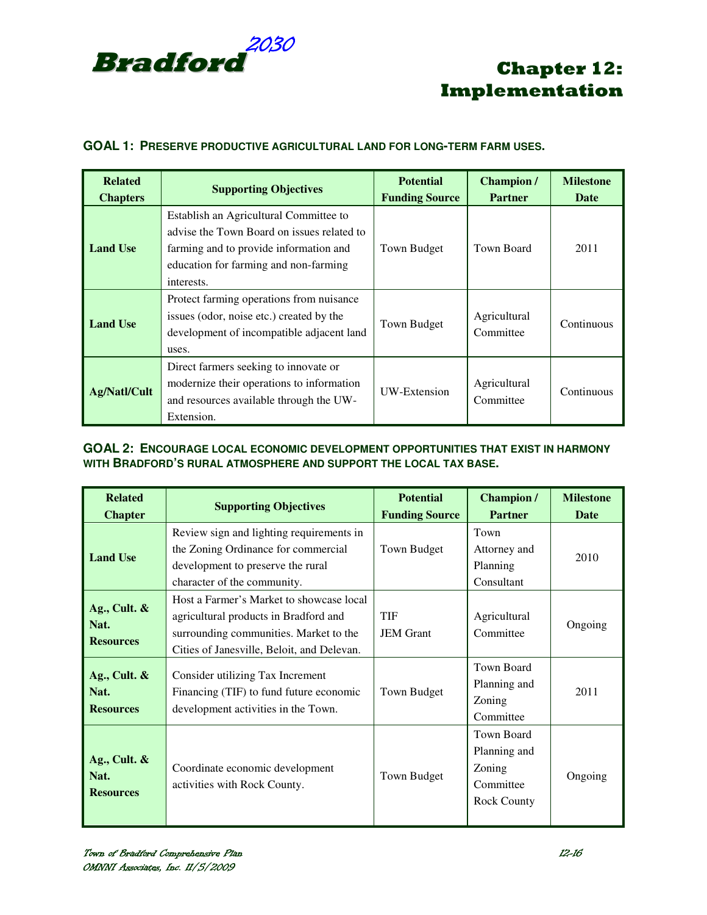

### **GOAL 1: PRESERVE PRODUCTIVE AGRICULTURAL LAND FOR LONG-TERM FARM USES.**

| <b>Related</b><br><b>Chapters</b> | <b>Supporting Objectives</b>                                                                                                                                                          | <b>Potential</b><br><b>Funding Source</b> | <b>Champion</b> /<br><b>Partner</b> | <b>Milestone</b><br>Date |
|-----------------------------------|---------------------------------------------------------------------------------------------------------------------------------------------------------------------------------------|-------------------------------------------|-------------------------------------|--------------------------|
| <b>Land Use</b>                   | Establish an Agricultural Committee to<br>advise the Town Board on issues related to<br>farming and to provide information and<br>education for farming and non-farming<br>interests. | Town Budget                               | Town Board                          | 2011                     |
| <b>Land Use</b>                   | Protect farming operations from nuisance<br>issues (odor, noise etc.) created by the<br>development of incompatible adjacent land<br>uses.                                            | Town Budget                               | Agricultural<br>Committee           | Continuous               |
| <b>Ag/Natl/Cult</b>               | Direct farmers seeking to innovate or<br>modernize their operations to information<br>and resources available through the UW-<br>Extension.                                           | UW-Extension                              | Agricultural<br>Committee           | Continuous               |

### **GOAL 2: ENCOURAGE LOCAL ECONOMIC DEVELOPMENT OPPORTUNITIES THAT EXIST IN HARMONY WITH BRADFORD'S RURAL ATMOSPHERE AND SUPPORT THE LOCAL TAX BASE.**

| <b>Related</b><br><b>Chapter</b>            | <b>Supporting Objectives</b>                                                                                                                                              | <b>Potential</b><br><b>Funding Source</b> | <b>Champion</b> /<br><b>Partner</b>                                            | <b>Milestone</b><br><b>Date</b> |
|---------------------------------------------|---------------------------------------------------------------------------------------------------------------------------------------------------------------------------|-------------------------------------------|--------------------------------------------------------------------------------|---------------------------------|
| <b>Land Use</b>                             | Review sign and lighting requirements in<br>the Zoning Ordinance for commercial<br>development to preserve the rural<br>character of the community.                       | Town Budget                               | Town<br>Attorney and<br>Planning<br>Consultant                                 | 2010                            |
| Ag., Cult. $\&$<br>Nat.<br><b>Resources</b> | Host a Farmer's Market to showcase local<br>agricultural products in Bradford and<br>surrounding communities. Market to the<br>Cities of Janesville, Beloit, and Delevan. | <b>TIF</b><br><b>JEM</b> Grant            | Agricultural<br>Committee                                                      | Ongoing                         |
| Ag., Cult. $\&$<br>Nat.<br><b>Resources</b> | Consider utilizing Tax Increment<br>Financing (TIF) to fund future economic<br>development activities in the Town.                                                        | Town Budget                               | Town Board<br>Planning and<br>Zoning<br>Committee                              | 2011                            |
| Ag., Cult. $\&$<br>Nat.<br><b>Resources</b> | Coordinate economic development<br>activities with Rock County.                                                                                                           | Town Budget                               | <b>Town Board</b><br>Planning and<br>Zoning<br>Committee<br><b>Rock County</b> | Ongoing                         |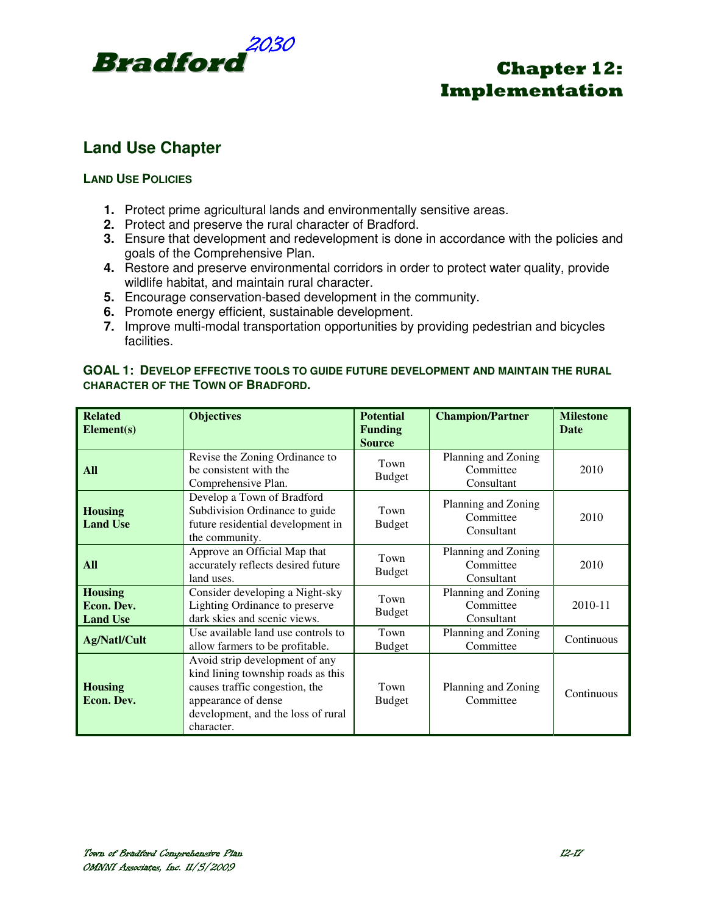

### **Land Use Chapter**

### **LAND USE POLICIES**

- **1.** Protect prime agricultural lands and environmentally sensitive areas.
- **2.** Protect and preserve the rural character of Bradford.
- **3.** Ensure that development and redevelopment is done in accordance with the policies and goals of the Comprehensive Plan.
- **4.** Restore and preserve environmental corridors in order to protect water quality, provide wildlife habitat, and maintain rural character.
- **5.** Encourage conservation-based development in the community.
- **6.** Promote energy efficient, sustainable development.
- **7.** Improve multi-modal transportation opportunities by providing pedestrian and bicycles facilities.

### **GOAL 1: DEVELOP EFFECTIVE TOOLS TO GUIDE FUTURE DEVELOPMENT AND MAINTAIN THE RURAL CHARACTER OF THE TOWN OF BRADFORD.**

| <b>Related</b><br>Element(s)                    | <b>Objectives</b>                                                                                                                                                                 | <b>Potential</b><br><b>Funding</b><br><b>Source</b> | <b>Champion/Partner</b>                        | <b>Milestone</b><br><b>Date</b> |
|-------------------------------------------------|-----------------------------------------------------------------------------------------------------------------------------------------------------------------------------------|-----------------------------------------------------|------------------------------------------------|---------------------------------|
| <b>All</b>                                      | Revise the Zoning Ordinance to<br>be consistent with the<br>Comprehensive Plan.                                                                                                   | Town<br><b>Budget</b>                               | Planning and Zoning<br>Committee<br>Consultant | 2010                            |
| <b>Housing</b><br><b>Land Use</b>               | Develop a Town of Bradford<br>Subdivision Ordinance to guide<br>future residential development in<br>the community.                                                               | Town<br><b>Budget</b>                               | Planning and Zoning<br>Committee<br>Consultant | 2010                            |
| <b>All</b>                                      | Approve an Official Map that<br>accurately reflects desired future<br>land uses.                                                                                                  | Town<br><b>Budget</b>                               | Planning and Zoning<br>Committee<br>Consultant | 2010                            |
| <b>Housing</b><br>Econ. Dev.<br><b>Land Use</b> | Consider developing a Night-sky<br>Lighting Ordinance to preserve<br>dark skies and scenic views.                                                                                 | Town<br><b>Budget</b>                               | Planning and Zoning<br>Committee<br>Consultant | 2010-11                         |
| Ag/Natl/Cult                                    | Use available land use controls to<br>allow farmers to be profitable.                                                                                                             | Town<br><b>Budget</b>                               | Planning and Zoning<br>Committee               | Continuous                      |
| <b>Housing</b><br>Econ. Dev.                    | Avoid strip development of any<br>kind lining township roads as this<br>causes traffic congestion, the<br>appearance of dense<br>development, and the loss of rural<br>character. | Town<br><b>Budget</b>                               | Planning and Zoning<br>Committee               | Continuous                      |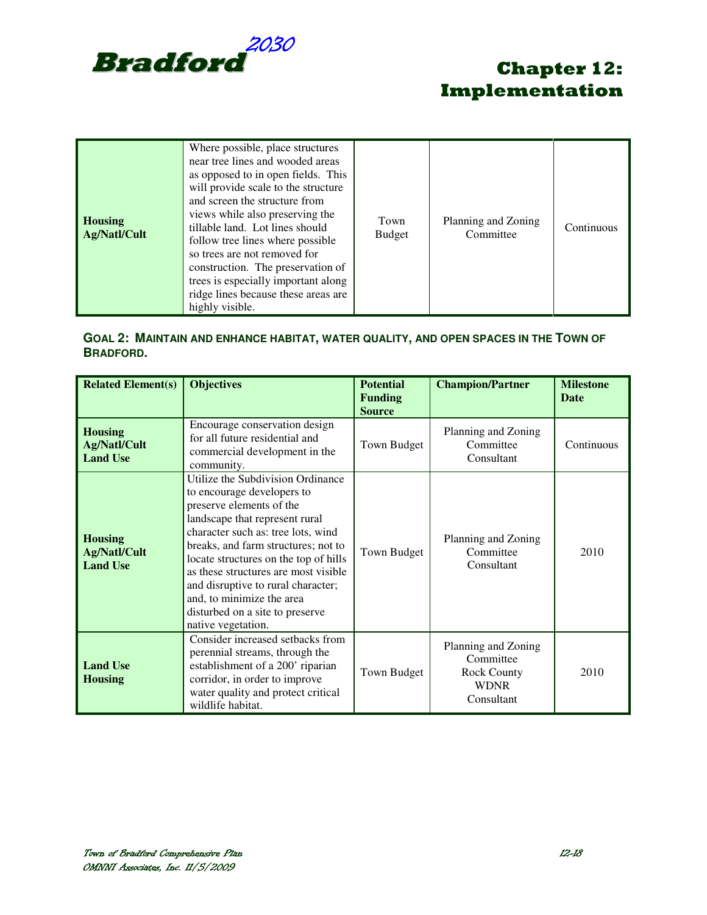

| <b>Housing</b><br>Ag/Natl/Cult | Where possible, place structures<br>near tree lines and wooded areas<br>as opposed to in open fields. This<br>will provide scale to the structure<br>and screen the structure from<br>views while also preserving the<br>tillable land. Lot lines should<br>follow tree lines where possible<br>so trees are not removed for<br>construction. The preservation of<br>trees is especially important along<br>ridge lines because these areas are<br>highly visible. | Town<br><b>Budget</b> | Planning and Zoning<br>Committee | Continuous |
|--------------------------------|--------------------------------------------------------------------------------------------------------------------------------------------------------------------------------------------------------------------------------------------------------------------------------------------------------------------------------------------------------------------------------------------------------------------------------------------------------------------|-----------------------|----------------------------------|------------|
|--------------------------------|--------------------------------------------------------------------------------------------------------------------------------------------------------------------------------------------------------------------------------------------------------------------------------------------------------------------------------------------------------------------------------------------------------------------------------------------------------------------|-----------------------|----------------------------------|------------|

### **GOAL 2: MAINTAIN AND ENHANCE HABITAT, WATER QUALITY, AND OPEN SPACES IN THE TOWN OF BRADFORD.**

| <b>Related Element(s)</b>                                | <b>Objectives</b>                                                                                                                                                                                                                                                                                                                                                                                                       | <b>Potential</b><br><b>Funding</b><br><b>Source</b> | <b>Champion/Partner</b>                                                             | <b>Milestone</b><br><b>Date</b> |
|----------------------------------------------------------|-------------------------------------------------------------------------------------------------------------------------------------------------------------------------------------------------------------------------------------------------------------------------------------------------------------------------------------------------------------------------------------------------------------------------|-----------------------------------------------------|-------------------------------------------------------------------------------------|---------------------------------|
| <b>Housing</b><br><b>Ag/Natl/Cult</b><br><b>Land Use</b> | Encourage conservation design<br>for all future residential and<br>commercial development in the<br>community.                                                                                                                                                                                                                                                                                                          | Town Budget                                         | Planning and Zoning<br>Committee<br>Consultant                                      | Continuous                      |
| <b>Housing</b><br><b>Ag/Natl/Cult</b><br><b>Land Use</b> | Utilize the Subdivision Ordinance<br>to encourage developers to<br>preserve elements of the<br>landscape that represent rural<br>character such as: tree lots, wind<br>breaks, and farm structures; not to<br>locate structures on the top of hills<br>as these structures are most visible<br>and disruptive to rural character;<br>and, to minimize the area<br>disturbed on a site to preserve<br>native vegetation. | Town Budget                                         | Planning and Zoning<br>Committee<br>Consultant                                      | 2010                            |
| <b>Land Use</b><br><b>Housing</b>                        | Consider increased setbacks from<br>perennial streams, through the<br>establishment of a 200' riparian<br>corridor, in order to improve<br>water quality and protect critical<br>wildlife habitat.                                                                                                                                                                                                                      | Town Budget                                         | Planning and Zoning<br>Committee<br><b>Rock County</b><br><b>WDNR</b><br>Consultant | 2010                            |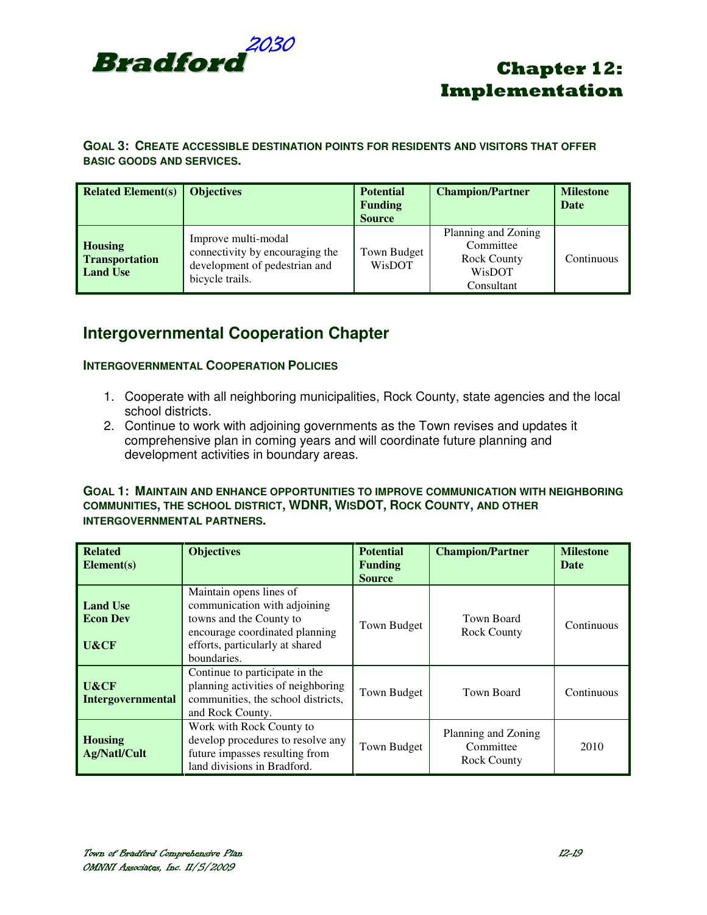

### **GOAL 3: CREATE ACCESSIBLE DESTINATION POINTS FOR RESIDENTS AND VISITORS THAT OFFER BASIC GOODS AND SERVICES.**

| <b>Related Element(s)</b>                                  | <b>Objectives</b>                                                                                          | <b>Potential</b><br><b>Funding</b><br><b>Source</b> | <b>Champion/Partner</b>                                                        | <b>Milestone</b><br><b>Date</b> |
|------------------------------------------------------------|------------------------------------------------------------------------------------------------------------|-----------------------------------------------------|--------------------------------------------------------------------------------|---------------------------------|
| <b>Housing</b><br><b>Transportation</b><br><b>Land Use</b> | Improve multi-modal<br>connectivity by encouraging the<br>development of pedestrian and<br>bicycle trails. | Town Budget<br>WisDOT                               | Planning and Zoning<br>Committee<br><b>Rock County</b><br>WisDOT<br>Consultant | Continuous                      |

### **Intergovernmental Cooperation Chapter**

### **INTERGOVERNMENTAL COOPERATION POLICIES**

- 1. Cooperate with all neighboring municipalities, Rock County, state agencies and the local school districts.
- 2. Continue to work with adjoining governments as the Town revises and updates it comprehensive plan in coming years and will coordinate future planning and development activities in boundary areas.

#### **GOAL 1: MAINTAIN AND ENHANCE OPPORTUNITIES TO IMPROVE COMMUNICATION WITH NEIGHBORING COMMUNITIES, THE SCHOOL DISTRICT, WDNR, WISDOT, ROCK COUNTY, AND OTHER INTERGOVERNMENTAL PARTNERS.**

| <b>Related</b><br>Element(s)               | <b>Objectives</b>                                                                                                                                                      | <b>Potential</b><br>Funding<br><b>Source</b> | <b>Champion/Partner</b>                                | <b>Milestone</b><br>Date |
|--------------------------------------------|------------------------------------------------------------------------------------------------------------------------------------------------------------------------|----------------------------------------------|--------------------------------------------------------|--------------------------|
| <b>Land Use</b><br><b>Econ Dev</b><br>U&CF | Maintain opens lines of<br>communication with adjoining<br>towns and the County to<br>encourage coordinated planning<br>efforts, particularly at shared<br>boundaries. | Town Budget                                  | Town Board<br><b>Rock County</b>                       | Continuous               |
| U&CF<br><b>Intergovernmental</b>           | Continue to participate in the<br>planning activities of neighboring<br>communities, the school districts,<br>and Rock County.                                         | Town Budget                                  | Town Board                                             | Continuous               |
| <b>Housing</b><br>Ag/Natl/Cult             | Work with Rock County to<br>develop procedures to resolve any<br>future impasses resulting from<br>land divisions in Bradford.                                         | Town Budget                                  | Planning and Zoning<br>Committee<br><b>Rock County</b> | 2010                     |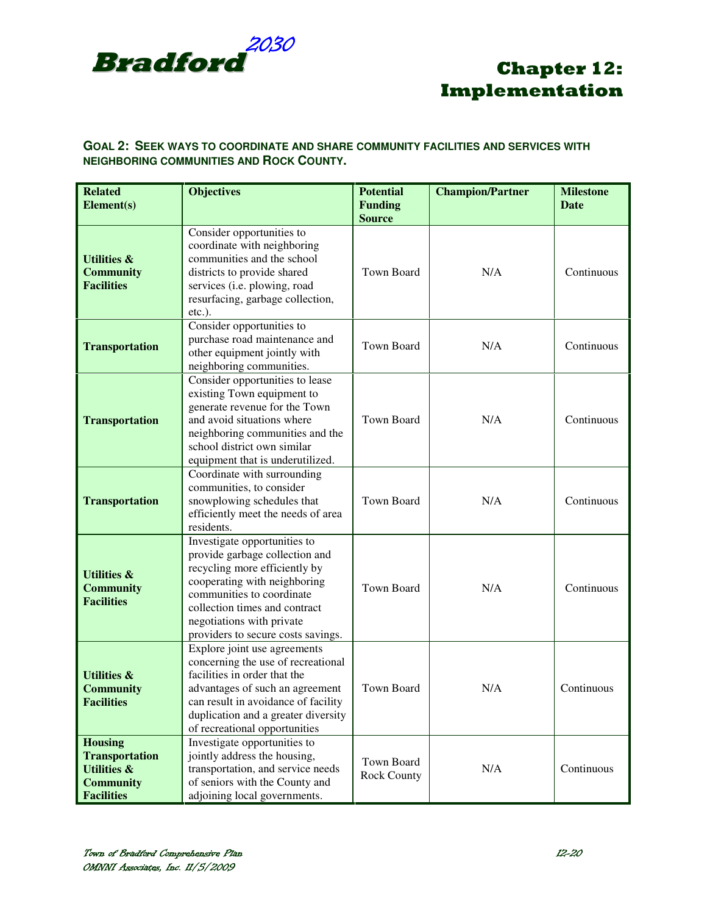

### **GOAL 2: SEEK WAYS TO COORDINATE AND SHARE COMMUNITY FACILITIES AND SERVICES WITH NEIGHBORING COMMUNITIES AND ROCK COUNTY.**

| <b>Related</b><br>Element(s)                                                                               | <b>Objectives</b>                                                                                                                                                                                                                                                | <b>Potential</b><br><b>Funding</b><br><b>Source</b> | <b>Champion/Partner</b> | <b>Milestone</b><br><b>Date</b> |
|------------------------------------------------------------------------------------------------------------|------------------------------------------------------------------------------------------------------------------------------------------------------------------------------------------------------------------------------------------------------------------|-----------------------------------------------------|-------------------------|---------------------------------|
| <b>Utilities &amp;</b><br><b>Community</b><br><b>Facilities</b>                                            | Consider opportunities to<br>coordinate with neighboring<br>communities and the school<br>districts to provide shared<br>services (i.e. plowing, road<br>resurfacing, garbage collection,<br>etc.).                                                              | Town Board                                          | N/A                     | Continuous                      |
| <b>Transportation</b>                                                                                      | Consider opportunities to<br>purchase road maintenance and<br>other equipment jointly with<br>neighboring communities.                                                                                                                                           | Town Board                                          | N/A                     | Continuous                      |
| <b>Transportation</b>                                                                                      | Consider opportunities to lease<br>existing Town equipment to<br>generate revenue for the Town<br>and avoid situations where<br>neighboring communities and the<br>school district own similar<br>equipment that is underutilized.                               | Town Board                                          | N/A                     | Continuous                      |
| <b>Transportation</b>                                                                                      | Coordinate with surrounding<br>communities, to consider<br>snowplowing schedules that<br>efficiently meet the needs of area<br>residents.                                                                                                                        | <b>Town Board</b>                                   | N/A                     | Continuous                      |
| <b>Utilities &amp;</b><br><b>Community</b><br><b>Facilities</b>                                            | Investigate opportunities to<br>provide garbage collection and<br>recycling more efficiently by<br>cooperating with neighboring<br>communities to coordinate<br>collection times and contract<br>negotiations with private<br>providers to secure costs savings. | <b>Town Board</b>                                   | N/A                     | Continuous                      |
| <b>Utilities &amp;</b><br><b>Community</b><br><b>Facilities</b>                                            | Explore joint use agreements<br>concerning the use of recreational<br>facilities in order that the<br>advantages of such an agreement<br>can result in avoidance of facility<br>duplication and a greater diversity<br>of recreational opportunities             | Town Board                                          | N/A                     | Continuous                      |
| <b>Housing</b><br><b>Transportation</b><br><b>Utilities &amp;</b><br><b>Community</b><br><b>Facilities</b> | Investigate opportunities to<br>jointly address the housing,<br>transportation, and service needs<br>of seniors with the County and<br>adjoining local governments.                                                                                              | Town Board<br><b>Rock County</b>                    | N/A                     | Continuous                      |